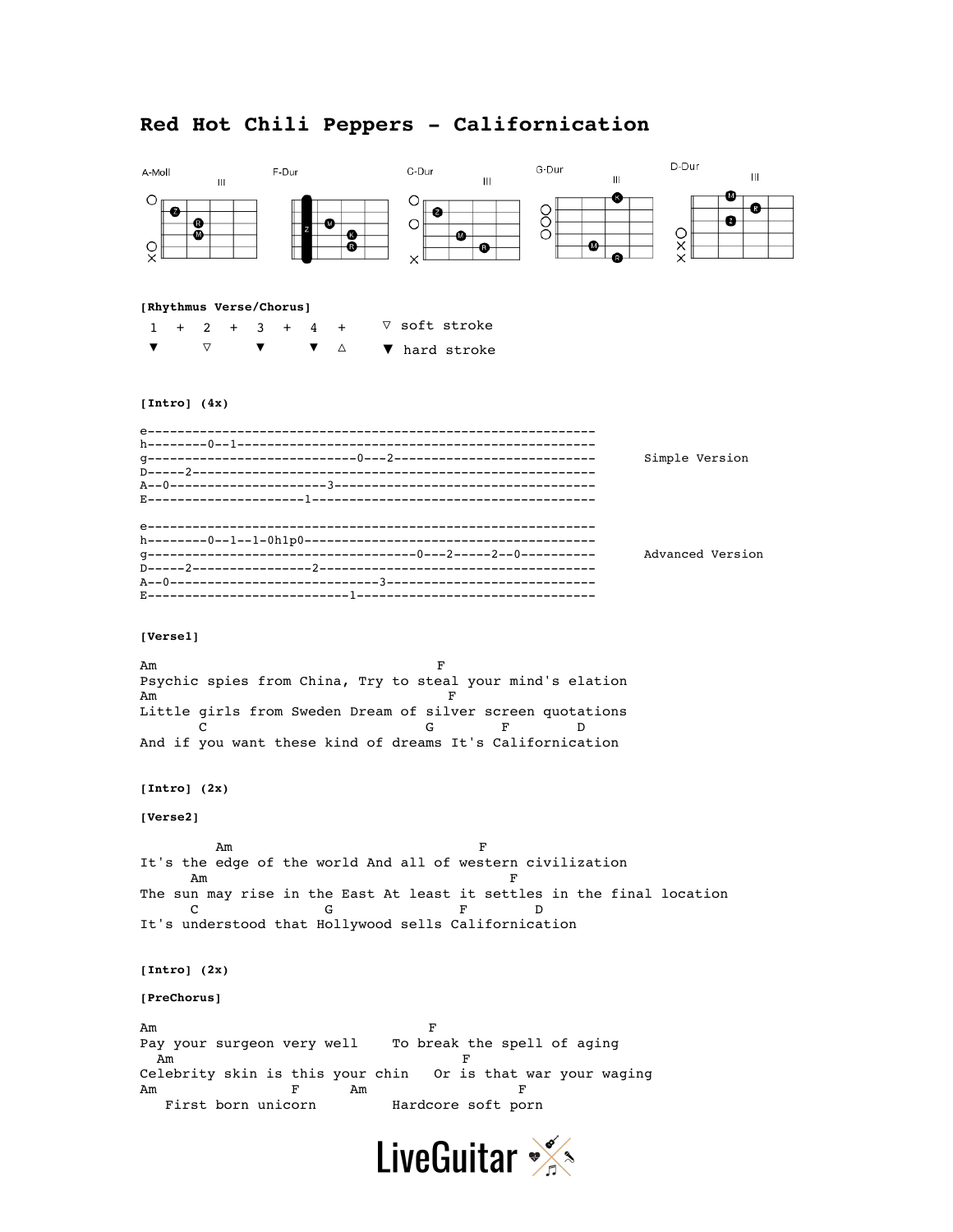## D-Dur G-Dur C-Dur A-Moll F-Dur  $\mathop{\rm III}$  $\overline{\mathbf{H}}$  $\overline{\mathbf{H}}$  $\mathsf{III}$ ⋒ Q O  $O<sub>II</sub>$ OOO A ໑  $\circ$ A О ⋒  $\rm{O}$  $\bullet$  $\times$ Ō ◍ **[Rhythmus Verse/Chorus]** ▽ soft stroke 1 + 2 + 3 + 4 +  $\begin{matrix} \nabla & \mathbf{V} & \mathbf{V} & \mathbf{V} \end{matrix}$ ▼ hard stroke **[Intro] (4x)** e----------------------------------------------------------- h---------0--1---------------------g----------------------------0---2--------------------------- Simple Version D-----2----------------------------A--0---------------------3----------------------------------- E---------------------1------------------------------------- e----------------------------------------------------------- h--------0--1--1-0h1p0-------------------------------------- g------------------------------------0---2-----2--0---------- Advanced Version D-----2----------------2------------------------------------- A--0----------------------------3---------------------------- E---------------------------1-------------------------------- **[Verse1]**  $\mathbb{A}$ m F Psychic spies from China, Try to steal your mind's elation  $\mathbb{A}$ m F Little girls from Sweden Dream of silver screen quotations C G F D And if you want these kind of dreams It's Californication **[Intro] (2x) [Verse2]** Am F It's the edge of the world And all of western civilization Am F The sun may rise in the East At least it settles in the final location C G F D It's understood that Hollywood sells Californication **[Intro] (2x) [PreChorus]** Am F Pay your surgeon very well To break the spell of aging Am F Celebrity skin is this your chin Or is that war your waging Am F Am F F F First born unicorn **Hardcore** soft porn

## **Red Hot Chili Peppers - Californication**

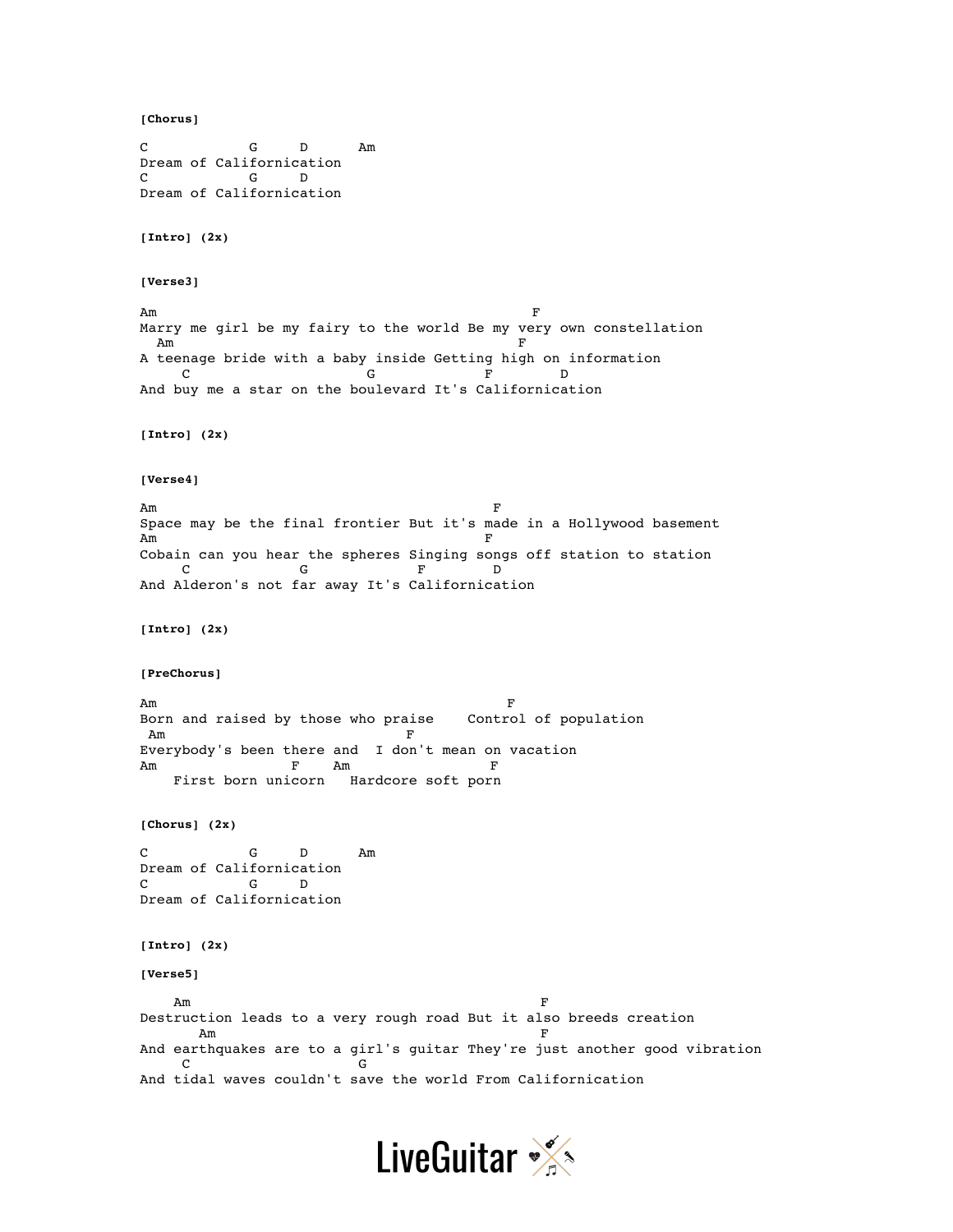**[Chorus]** C G D Am Dream of Californication C G D Dream of Californication **[Intro] (2x) [Verse3]**  $\mathbb{A}$ m F Marry me girl be my fairy to the world Be my very own constellation Am F A teenage bride with a baby inside Getting high on information C G F D And buy me a star on the boulevard It's Californication **[Intro] (2x) [Verse4]**  $Am$ Space may be the final frontier But it's made in a Hollywood basement Am F Cobain can you hear the spheres Singing songs off station to station C G F D And Alderon's not far away It's Californication **[Intro] (2x) [PreChorus]**  $\mathbb{R}^n$ Born and raised by those who praise Control of population Am F Everybody's been there and I don't mean on vacation Am F Am F First born unicorn Hardcore soft porn **[Chorus] (2x)** C G D Am Dream of Californication<br>C G D C G D Dream of Californication **[Intro] (2x) [Verse5]** Am F Destruction leads to a very rough road But it also breeds creation Am F And earthquakes are to a girl's guitar They're just another good vibration C<sub>G</sub>C G And tidal waves couldn't save the world From Californication